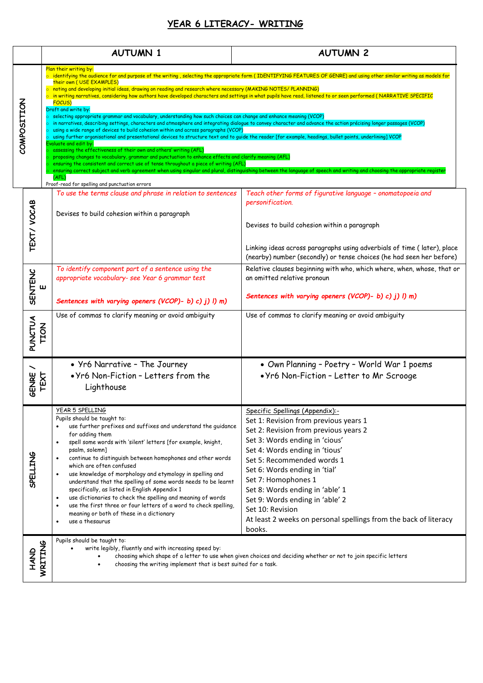## **YEAR 6 LITERACY- WRITING**

|                                                                                                                                                                                                                                                                                                    |                        | <b>AUTUMN 1</b>                                                                                                                                                                                                                                                                                                                                                                                                                                                                                                                                                                                                                                                                                                                                                                                                                                                                                                                                                                                                                                                                                                                                                                                                                                                                                                                                                                                                                                                                                                                                                                                                                                   | <b>AUTUMN 2</b>                                                                                                                                                                                                                                                                                                                                                                                                                                     |  |
|----------------------------------------------------------------------------------------------------------------------------------------------------------------------------------------------------------------------------------------------------------------------------------------------------|------------------------|---------------------------------------------------------------------------------------------------------------------------------------------------------------------------------------------------------------------------------------------------------------------------------------------------------------------------------------------------------------------------------------------------------------------------------------------------------------------------------------------------------------------------------------------------------------------------------------------------------------------------------------------------------------------------------------------------------------------------------------------------------------------------------------------------------------------------------------------------------------------------------------------------------------------------------------------------------------------------------------------------------------------------------------------------------------------------------------------------------------------------------------------------------------------------------------------------------------------------------------------------------------------------------------------------------------------------------------------------------------------------------------------------------------------------------------------------------------------------------------------------------------------------------------------------------------------------------------------------------------------------------------------------|-----------------------------------------------------------------------------------------------------------------------------------------------------------------------------------------------------------------------------------------------------------------------------------------------------------------------------------------------------------------------------------------------------------------------------------------------------|--|
| COMPOSITION                                                                                                                                                                                                                                                                                        |                        | Plan their writing by:<br>o identifying the audience for and purpose of the writing, selecting the appropriate form (IDENTIFYING FEATURES OF GENRE) and using other similar writing as models for<br>their own (USE EXAMPLES)<br>o noting and developing initial ideas, drawing on reading and research where necessary (MAKING NOTES/ PLANNING)<br>in writing narratives, considering how authors have developed characters and settings in what pupils have read, listened to or seen performed (NARRATIVE SPECIFIC<br>FOCUS)<br>Draft and write by:<br>selecting appropriate grammar and vocabulary, understanding how such choices can change and enhance meaning (VCOP)<br>in narratives, describing settings, characters and atmosphere and integrating dialogue to convey character and advance the action précising longer passages (VCOP)<br>using a wide range of devices to build cohesion within and across paragraphs (VCOP)<br>using further organisational and presentational devices to structure text and to guide the reader [for example, headings, bullet points, underlining] VCOP<br>Evaluate and edit by:<br>assessing the effectiveness of their own and others' writing (AFL)<br>proposing changes to vocabulary, grammar and punctuation to enhance effects and clarify meaning (AFL)<br>ensuring the consistent and correct use of tense throughout a piece of writing (AFL)<br>ensuring correct subject and verb agreement when using singular and plural, distinguishing between the language of speech and writing and choosing the appropriate register<br>(AFL)<br>Proof-read for spelling and punctuation errors |                                                                                                                                                                                                                                                                                                                                                                                                                                                     |  |
|                                                                                                                                                                                                                                                                                                    | TEXT/ VOCAB            | To use the terms clause and phrase in relation to sentences<br>Devises to build cohesion within a paragraph                                                                                                                                                                                                                                                                                                                                                                                                                                                                                                                                                                                                                                                                                                                                                                                                                                                                                                                                                                                                                                                                                                                                                                                                                                                                                                                                                                                                                                                                                                                                       | Teach other forms of figurative language - onomatopoeia and<br>personification.<br>Devises to build cohesion within a paragraph<br>Linking ideas across paragraphs using adverbials of time (later), place<br>(nearby) number (secondly) or tense choices (he had seen her before)                                                                                                                                                                  |  |
|                                                                                                                                                                                                                                                                                                    | <b>SENTENC</b><br>Ш    | To identify component part of a sentence using the<br>appropriate vocabulary- see Year 6 grammar test<br>Sentences with varying openers (VCOP)- b) c) j) l) m)                                                                                                                                                                                                                                                                                                                                                                                                                                                                                                                                                                                                                                                                                                                                                                                                                                                                                                                                                                                                                                                                                                                                                                                                                                                                                                                                                                                                                                                                                    | Relative clauses beginning with who, which where, when, whose, that or<br>an omitted relative pronoun<br>Sentences with varying openers (VCOP)- b) c) j) l) m)                                                                                                                                                                                                                                                                                      |  |
|                                                                                                                                                                                                                                                                                                    | PUNCTUA<br><b>TION</b> | Use of commas to clarify meaning or avoid ambiguity                                                                                                                                                                                                                                                                                                                                                                                                                                                                                                                                                                                                                                                                                                                                                                                                                                                                                                                                                                                                                                                                                                                                                                                                                                                                                                                                                                                                                                                                                                                                                                                               | Use of commas to clarify meaning or avoid ambiguity                                                                                                                                                                                                                                                                                                                                                                                                 |  |
|                                                                                                                                                                                                                                                                                                    | GENRE<br>TEXT          | • Yr6 Narrative - The Journey<br>. Yr6 Non-Fiction - Letters from the<br>Lighthouse                                                                                                                                                                                                                                                                                                                                                                                                                                                                                                                                                                                                                                                                                                                                                                                                                                                                                                                                                                                                                                                                                                                                                                                                                                                                                                                                                                                                                                                                                                                                                               | • Own Planning - Poetry - World War 1 poems<br>. Yr6 Non-Fiction - Letter to Mr Scrooge                                                                                                                                                                                                                                                                                                                                                             |  |
|                                                                                                                                                                                                                                                                                                    | <b>SPELLING</b>        | YEAR 5 SPELLING<br>Pupils should be taught to:<br>use further prefixes and suffixes and understand the quidance<br>for adding them<br>spell some words with 'silent' letters [for example, knight,<br>$\bullet$<br>psalm, solemn]<br>continue to distinguish between homophones and other words<br>$\bullet$<br>which are often confused<br>use knowledge of morphology and etymology in spelling and<br>$\bullet$<br>understand that the spelling of some words needs to be learnt<br>specifically, as listed in English Appendix 1<br>use dictionaries to check the spelling and meaning of words<br>$\bullet$<br>use the first three or four letters of a word to check spelling,<br>$\bullet$<br>meaning or both of these in a dictionary<br>use a thesaurus<br>$\bullet$                                                                                                                                                                                                                                                                                                                                                                                                                                                                                                                                                                                                                                                                                                                                                                                                                                                                     | Specific Spellings (Appendix):-<br>Set 1: Revision from previous years 1<br>Set 2: Revision from previous years 2<br>Set 3: Words ending in 'cious'<br>Set 4: Words ending in 'tious'<br>Set 5: Recommended words 1<br>Set 6: Words ending in 'tial'<br>Set 7: Homophones 1<br>Set 8: Words ending in 'able' 1<br>Set 9: Words ending in 'able' 2<br>Set 10: Revision<br>At least 2 weeks on personal spellings from the back of literacy<br>books. |  |
| Pupils should be taught to:<br>WRITING<br>write legibly, fluently and with increasing speed by:<br><b>AND</b><br>choosing which shape of a letter to use when given choices and deciding whether or not to join specific letters<br>choosing the writing implement that is best suited for a task. |                        |                                                                                                                                                                                                                                                                                                                                                                                                                                                                                                                                                                                                                                                                                                                                                                                                                                                                                                                                                                                                                                                                                                                                                                                                                                                                                                                                                                                                                                                                                                                                                                                                                                                   |                                                                                                                                                                                                                                                                                                                                                                                                                                                     |  |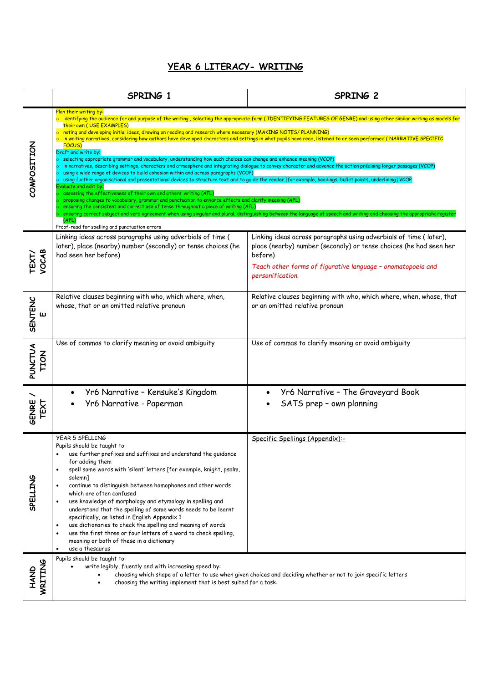## **YEAR 6 LITERACY- WRITING**

|                                | SPRING 1                                                                                                                                                                                                                                                                                                                                                                                                                                                                                                                                                                                                                                                                                                                                                                                                                                                                                                                                                                                                                                                                                                                                                                                                                                                                                                                                                                                                                                                                                                                                                                                                                                                        | SPRING 2                                                                                                                                                                                                                              |  |
|--------------------------------|-----------------------------------------------------------------------------------------------------------------------------------------------------------------------------------------------------------------------------------------------------------------------------------------------------------------------------------------------------------------------------------------------------------------------------------------------------------------------------------------------------------------------------------------------------------------------------------------------------------------------------------------------------------------------------------------------------------------------------------------------------------------------------------------------------------------------------------------------------------------------------------------------------------------------------------------------------------------------------------------------------------------------------------------------------------------------------------------------------------------------------------------------------------------------------------------------------------------------------------------------------------------------------------------------------------------------------------------------------------------------------------------------------------------------------------------------------------------------------------------------------------------------------------------------------------------------------------------------------------------------------------------------------------------|---------------------------------------------------------------------------------------------------------------------------------------------------------------------------------------------------------------------------------------|--|
| COMPOSITION                    | Plan their writing by:<br>$\circ$ identifying the audience for and purpose of the writing, selecting the appropriate form (IDENTIFYING FEATURES OF GENRE) and using other similar writing as models for<br>their own (USE EXAMPLES)<br>o noting and developing initial ideas, drawing on reading and research where necessary (MAKING NOTES/ PLANNING)<br>$\circ$ in writing narratives, considering how authors have developed characters and settings in what pupils have read, listened to or seen performed (NARRATIVE SPECIFIC<br>FOCUS)<br>Draft and write by:<br>selecting appropriate grammar and vocabulary, understanding how such choices can change and enhance meaning (VCOP)<br>in narratives, describing settings, characters and atmosphere and integrating dialogue to convey character and advance the action précising longer passages (VCOP)<br>using a wide range of devices to build cohesion within and across paragraphs (VCOP)<br>using further organisational and presentational devices to structure text and to guide the reader [for example, headings, bullet points, underlining] VCOP<br>Evaluate and edit by:<br>assessing the effectiveness of their own and others' writing (AFL)<br>proposing changes to vocabulary, grammar and punctuation to enhance effects and clarify meaning (AFL)<br>ensuring the consistent and correct use of tense throughout a piece of writing (AFL)<br>ensuring correct subject and verb agreement when using singular and plural, distinguishing between the language of speech and writing and choosing the appropriate register<br>(AFL)<br>Proof-read for spelling and punctuation errors |                                                                                                                                                                                                                                       |  |
| TEXT/<br>VOCAB                 | Linking ideas across paragraphs using adverbials of time (<br>later), place (nearby) number (secondly) or tense choices (he<br>had seen her before)                                                                                                                                                                                                                                                                                                                                                                                                                                                                                                                                                                                                                                                                                                                                                                                                                                                                                                                                                                                                                                                                                                                                                                                                                                                                                                                                                                                                                                                                                                             | Linking ideas across paragraphs using adverbials of time (later),<br>place (nearby) number (secondly) or tense choices (he had seen her<br>before)<br>Teach other forms of figurative language - onomatopoeia and<br>personification. |  |
| <b>SENTENC</b><br>$\mathbf{u}$ | Relative clauses beginning with who, which where, when,<br>whose, that or an omitted relative pronoun                                                                                                                                                                                                                                                                                                                                                                                                                                                                                                                                                                                                                                                                                                                                                                                                                                                                                                                                                                                                                                                                                                                                                                                                                                                                                                                                                                                                                                                                                                                                                           | Relative clauses beginning with who, which where, when, whose, that<br>or an omitted relative pronoun                                                                                                                                 |  |
| PUNCTUA<br><b>TION</b>         | Use of commas to clarify meaning or avoid ambiguity                                                                                                                                                                                                                                                                                                                                                                                                                                                                                                                                                                                                                                                                                                                                                                                                                                                                                                                                                                                                                                                                                                                                                                                                                                                                                                                                                                                                                                                                                                                                                                                                             | Use of commas to clarify meaning or avoid ambiguity                                                                                                                                                                                   |  |
| <b>GENRE</b><br>TEXT           | Yr6 Narrative - Kensuke's Kingdom<br>Yr6 Narrative - Paperman                                                                                                                                                                                                                                                                                                                                                                                                                                                                                                                                                                                                                                                                                                                                                                                                                                                                                                                                                                                                                                                                                                                                                                                                                                                                                                                                                                                                                                                                                                                                                                                                   | Yr6 Narrative - The Graveyard Book<br>SATS prep - own planning                                                                                                                                                                        |  |
| <b>SPELLING</b>                | YEAR 5 SPELLING<br>Pupils should be taught to:<br>use further prefixes and suffixes and understand the guidance<br>for adding them<br>spell some words with 'silent' letters [for example, knight, psalm,<br>solemn]<br>continue to distinguish between homophones and other words<br>which are often confused<br>use knowledge of morphology and etymology in spelling and<br>understand that the spelling of some words needs to be learnt<br>specifically, as listed in English Appendix 1<br>use dictionaries to check the spelling and meaning of words<br>$\bullet$<br>use the first three or four letters of a word to check spelling,<br>meaning or both of these in a dictionary<br>use a thesaurus                                                                                                                                                                                                                                                                                                                                                                                                                                                                                                                                                                                                                                                                                                                                                                                                                                                                                                                                                    | Specific Spellings (Appendix):-                                                                                                                                                                                                       |  |
| WRITING<br><b>AND</b>          | Pupils should be taught to:<br>write legibly, fluently and with increasing speed by:<br>choosing which shape of a letter to use when given choices and deciding whether or not to join specific letters<br>choosing the writing implement that is best suited for a task.                                                                                                                                                                                                                                                                                                                                                                                                                                                                                                                                                                                                                                                                                                                                                                                                                                                                                                                                                                                                                                                                                                                                                                                                                                                                                                                                                                                       |                                                                                                                                                                                                                                       |  |